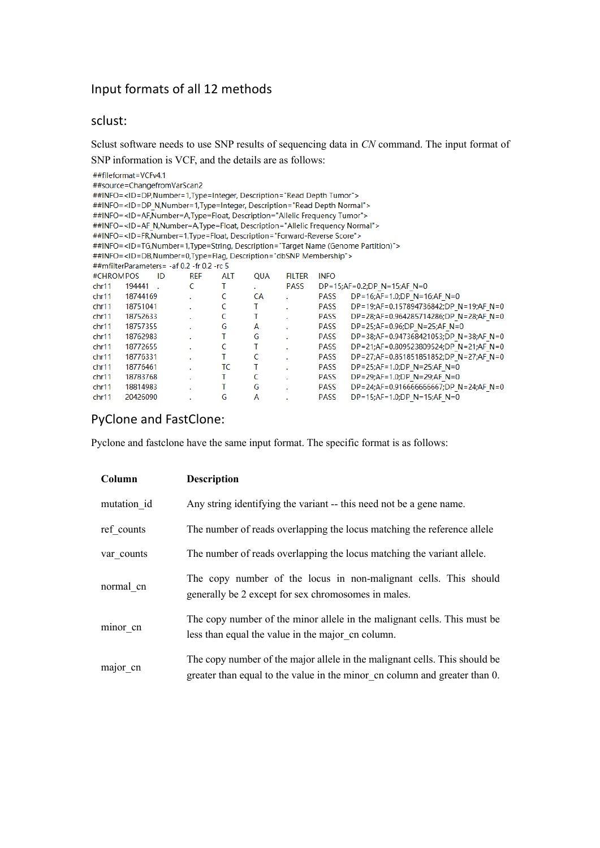# Input formats of all 12 methods

### sclust:

Sclust software needs to use SNP results of sequencing data in *CN* command. The input format of SNP information is VCF, and the details are as follows:

| ##fileformat=VCFv4.1                                                                                    |                                                                                                       |    |            |            |     |               |             |                                                                                                                  |  |  |
|---------------------------------------------------------------------------------------------------------|-------------------------------------------------------------------------------------------------------|----|------------|------------|-----|---------------|-------------|------------------------------------------------------------------------------------------------------------------|--|--|
| ##source=ChangefromVarScan2                                                                             |                                                                                                       |    |            |            |     |               |             |                                                                                                                  |  |  |
| ##INFO= <id=dp, description="Read Depth Tumor" number="1," type="Integer,"></id=dp,>                    |                                                                                                       |    |            |            |     |               |             |                                                                                                                  |  |  |
| ##INFO= <id=dp_n, description="Read Depth Normal" number="1," type="Integer,"></id=dp_n,>               |                                                                                                       |    |            |            |     |               |             |                                                                                                                  |  |  |
| ##INFO= <id=af,number=a,type=float, description="Allelic Frequency Tumor"></id=af,number=a,type=float,> |                                                                                                       |    |            |            |     |               |             |                                                                                                                  |  |  |
| ##INFO= <id=af description="Allelic Frequency Normal" n,="" number="A," type="Float,"></id=af>          |                                                                                                       |    |            |            |     |               |             |                                                                                                                  |  |  |
|                                                                                                         | ##INFO= <id=fr,number=1,type=float, description="Forward-Reverse Score"></id=fr,number=1,type=float,> |    |            |            |     |               |             |                                                                                                                  |  |  |
|                                                                                                         |                                                                                                       |    |            |            |     |               |             | ##INFO= <id=tg,number=1,type=string, description="Target Name (Genome Partition)"></id=tg,number=1,type=string,> |  |  |
|                                                                                                         | ##INFO= <id=db,number=0,type=flag, description="dbSNP Membership"></id=db,number=0,type=flag,>        |    |            |            |     |               |             |                                                                                                                  |  |  |
|                                                                                                         | ##mfilterParameters= -af 0.2 -fr 0.2 -rc 5                                                            |    |            |            |     |               |             |                                                                                                                  |  |  |
| #CHROMPOS                                                                                               |                                                                                                       | ID | <b>REF</b> | <b>ALT</b> | QUA | <b>FILTER</b> | <b>INFO</b> |                                                                                                                  |  |  |
| chr11                                                                                                   | 194441.                                                                                               |    | C          | т          |     | PASS          |             | $DP = 15; AF = 0.2; DP N = 15; AF N = 0$                                                                         |  |  |
| chr11                                                                                                   | 18744169                                                                                              |    |            | C          | СA  | ÷.            | PASS        | DP=16;AF=1.0;DP N=16;AF N=0                                                                                      |  |  |
| chr11                                                                                                   | 18751041                                                                                              |    |            | C          | т   |               | <b>PASS</b> | DP=19;AF=0.157894736842;DP N=19;AF N=0                                                                           |  |  |
| chr11                                                                                                   | 18752633                                                                                              |    |            | C          | T   |               | <b>PASS</b> | DP=28;AF=0.964285714286;DP N=28;AF N=0                                                                           |  |  |
| chr11                                                                                                   | 18757355                                                                                              |    |            | G          | А   |               | <b>PASS</b> | DP=25;AF=0.96;DP N=25;AF N=0                                                                                     |  |  |
| chr11                                                                                                   | 18762983                                                                                              |    |            | Т          | G   |               | <b>PASS</b> | DP=38;AF=0.947368421053;DP N=38;AF N=0                                                                           |  |  |
| chr11                                                                                                   | 18772655                                                                                              |    |            | C          | т   |               | <b>PASS</b> | DP=21;AF=0.809523809524;DP N=21;AF N=0                                                                           |  |  |
| chr11                                                                                                   | 18776331                                                                                              |    |            | T          | C   |               | PASS        | DP=27;AF=0.851851851852;DP N=27;AF N=0                                                                           |  |  |
| chr11                                                                                                   | 18776461                                                                                              |    |            | ТC         |     |               | <b>PASS</b> | DP=25;AF=1.0;DP N=25;AF N=0                                                                                      |  |  |
| chr11                                                                                                   | 18783768                                                                                              |    |            | т          | C   |               | PASS        | DP=29;AF=1.0;DP_N=29;AF_N=0                                                                                      |  |  |
| chr11                                                                                                   | 18814983                                                                                              |    |            | т          | G   |               | <b>PASS</b> | DP=24;AF=0.916666666667;DP N=24;AF N=0                                                                           |  |  |
| chr11                                                                                                   | 20426090                                                                                              |    |            | G          | A   |               | <b>PASS</b> | $DP = 15; AF = 1.0; DP$ N = 15;AF N = 0                                                                          |  |  |

# PyClone and FastClone:

Pyclone and fastclone have the same input format. The specific format is as follows:

| Column      | <b>Description</b>                                                                                                                                       |
|-------------|----------------------------------------------------------------------------------------------------------------------------------------------------------|
| mutation id | Any string identifying the variant -- this need not be a gene name.                                                                                      |
| ref counts  | The number of reads overlapping the locus matching the reference allele                                                                                  |
| var counts  | The number of reads overlapping the locus matching the variant allele.                                                                                   |
| normal cn   | The copy number of the locus in non-malignant cells. This should<br>generally be 2 except for sex chromosomes in males.                                  |
| minor cn    | The copy number of the minor allele in the malignant cells. This must be<br>less than equal the value in the major on column.                            |
| major cn    | The copy number of the major allele in the malignant cells. This should be<br>greater than equal to the value in the minor on column and greater than 0. |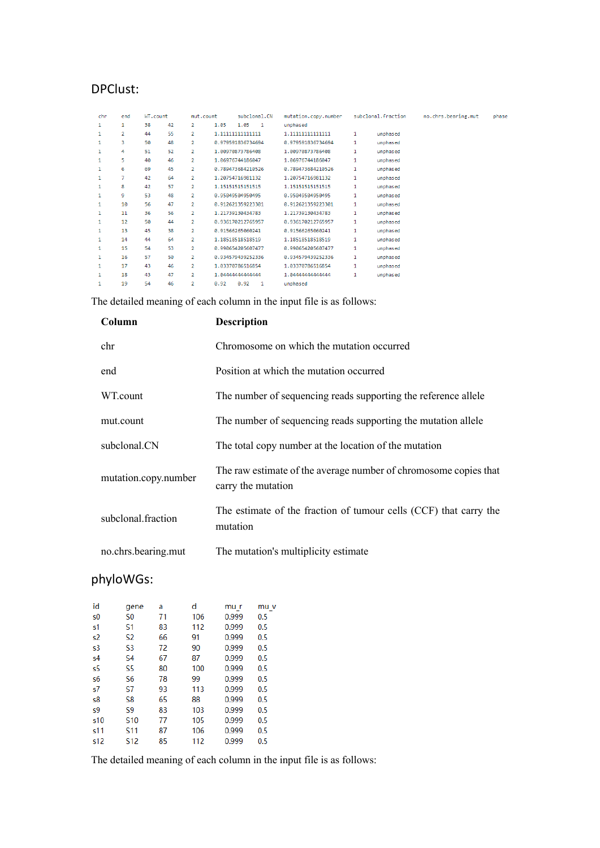# DPClust:

| chr | end | WT.count |    | mut.count      |                   | subclonal.CN   | mutation.copy.number |              | subclonal.fraction | no.chrs.bearing.mut | phase |
|-----|-----|----------|----|----------------|-------------------|----------------|----------------------|--------------|--------------------|---------------------|-------|
| 1   | 1   | 38       | 42 | $\overline{2}$ | 1.05<br>1.05      | $\overline{1}$ | unphased             |              |                    |                     |       |
| 1   | 2   | 44       | 55 | $\overline{2}$ | 1.111111111111111 |                | 1.11111111111111     | $\mathbf{1}$ | unphased           |                     |       |
| 1   | 3   | 50       | 48 | $\overline{2}$ | 0.979591836734694 |                | 0.979591836734694    | 1            | unphased           |                     |       |
| 1   | 4   | 51       | 52 | $\overline{2}$ | 1.00970873786408  |                | 1.00970873786408     | 1            | unphased           |                     |       |
| 1   | 5   | 40       | 46 | $\overline{2}$ | 1.06976744186047  |                | 1.06976744186047     | 1            | unphased           |                     |       |
| 1   | 6   | 69       | 45 | $\overline{2}$ | 0.789473684210526 |                | 0.789473684210526    | 1            | unphased           |                     |       |
| 1   | 7   | 42       | 64 | $\overline{2}$ | 1.20754716981132  |                | 1.20754716981132     | 1            | unphased           |                     |       |
| 1   | 8   | 42       | 57 | $\overline{2}$ | 1.15151515151515  |                | 1.15151515151515     | 1            | unphased           |                     |       |
| 1   | 9   | 53       | 48 | $\overline{2}$ | 0.95049504950495  |                | 0.95049504950495     | 1            | unphased           |                     |       |
| 1   | 10  | 56       | 47 | 2              | 0.912621359223301 |                | 0.912621359223301    | 1            | unphased           |                     |       |
| 1   | 11  | 36       | 56 | $\overline{2}$ | 1.21739130434783  |                | 1.21739130434783     | 1            | unphased           |                     |       |
| 1   | 12  | 50       | 44 | $\overline{2}$ | 0.936170212765957 |                | 0.936170212765957    | $\mathbf{1}$ | unphased           |                     |       |
| 1   | 13  | 45       | 38 | $\overline{2}$ | 0.91566265060241  |                | 0.91566265060241     | $\mathbf{1}$ | unphased           |                     |       |
| 1   | 14  | 44       | 64 | $\overline{2}$ | 1.18518518518519  |                | 1.18518518518519     | 1            | unphased           |                     |       |
| 1   | 15  | 54       | 53 | $\overline{2}$ | 0.990654205607477 |                | 0.990654205607477    | 1            | unphased           |                     |       |
| 1   | 16  | 57       | 50 | $\overline{2}$ | 0.934579439252336 |                | 0.934579439252336    | $\mathbf{1}$ | unphased           |                     |       |
| 1   | 17  | 43       | 46 | $\overline{2}$ | 1.03370786516854  |                | 1.03370786516854     | 1            | unphased           |                     |       |
| 1   | 18  | 43       | 47 | $\overline{2}$ | 1.04444444444444  |                | 1.04444444444444     | 1            | unphased           |                     |       |
| 1   | 19  | 54       | 46 | 2              | 0.92<br>0.92      | 1              | unphased             |              |                    |                     |       |

The detailed meaning of each column in the input file is as follows:

| Column               | <b>Description</b>                                                                     |
|----------------------|----------------------------------------------------------------------------------------|
| chr                  | Chromosome on which the mutation occurred                                              |
| end                  | Position at which the mutation occurred                                                |
| WT.count             | The number of sequencing reads supporting the reference allele                         |
| mut.count            | The number of sequencing reads supporting the mutation allele                          |
| subclonal.CN         | The total copy number at the location of the mutation                                  |
| mutation.copy.number | The raw estimate of the average number of chromosome copies that<br>carry the mutation |
| subclonal fraction   | The estimate of the fraction of tumour cells (CCF) that carry the<br>mutation          |
| no.chrs.bearing.mut  | The mutation's multiplicity estimate                                                   |

# phyloWGs:

| id             |                 | a  | d   | mu r  |      |
|----------------|-----------------|----|-----|-------|------|
|                | gene            |    |     |       | mu v |
| s0             | S <sub>0</sub>  | 71 | 106 | 0.999 | 0.5  |
| s1             | S1              | 83 | 112 | 0.999 | 0.5  |
| s <sub>2</sub> | S2              | 66 | 91  | 0.999 | 0.5  |
| s3             | S3              | 72 | 90  | 0.999 | 0.5  |
| s4             | S4              | 67 | 87  | 0.999 | 0.5  |
| s5             | S5              | 80 | 100 | 0.999 | 0.5  |
| s6             | S6              | 78 | 99  | 0.999 | 0.5  |
| s7             | S7              | 93 | 113 | 0.999 | 0.5  |
| s8             | S8              | 65 | 88  | 0.999 | 0.5  |
| s9             | S9              | 83 | 103 | 0.999 | 0.5  |
| s10            | S <sub>10</sub> | 77 | 105 | 0.999 | 0.5  |
| s11            | S <sub>11</sub> | 87 | 106 | 0.999 | 0.5  |
| s12            | S12             | 85 | 112 | 0.999 | 0.5  |
|                |                 |    |     |       |      |

The detailed meaning of each column in the input file is as follows: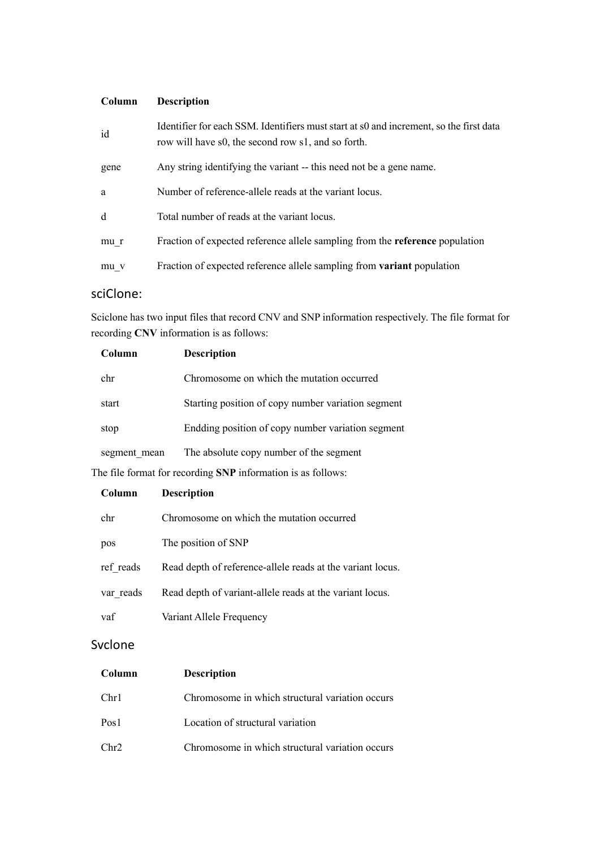## **Column Description**

| id   | Identifier for each SSM. Identifiers must start at s0 and increment, so the first data<br>row will have s0, the second row s1, and so forth. |
|------|----------------------------------------------------------------------------------------------------------------------------------------------|
| gene | Any string identifying the variant -- this need not be a gene name.                                                                          |
| a    | Number of reference-allele reads at the variant locus.                                                                                       |
| d    | Total number of reads at the variant locus.                                                                                                  |
| mu r | Fraction of expected reference allele sampling from the <b>reference</b> population                                                          |
| mu v | Fraction of expected reference allele sampling from variant population                                                                       |

## sciClone:

Sciclone has two input files that record CNV and SNP information respectively. The file format for recording **CNV** information is as follows:

| Column       | <b>Description</b>                                 |
|--------------|----------------------------------------------------|
| chr          | Chromosome on which the mutation occurred          |
| start        | Starting position of copy number variation segment |
| stop         | Endding position of copy number variation segment  |
| segment mean | The absolute copy number of the segment            |

The file format for recording **SNP** information is as follows:

| Column    | <b>Description</b>                                         |
|-----------|------------------------------------------------------------|
| chr       | Chromosome on which the mutation occurred                  |
| pos       | The position of SNP                                        |
| ref reads | Read depth of reference-allele reads at the variant locus. |
| var reads | Read depth of variant-allele reads at the variant locus.   |
| vaf       | Variant Allele Frequency                                   |

## Svclone

| Column           | <b>Description</b>                              |
|------------------|-------------------------------------------------|
| Chr1             | Chromosome in which structural variation occurs |
| Pos <sub>1</sub> | Location of structural variation                |
| Chr2             | Chromosome in which structural variation occurs |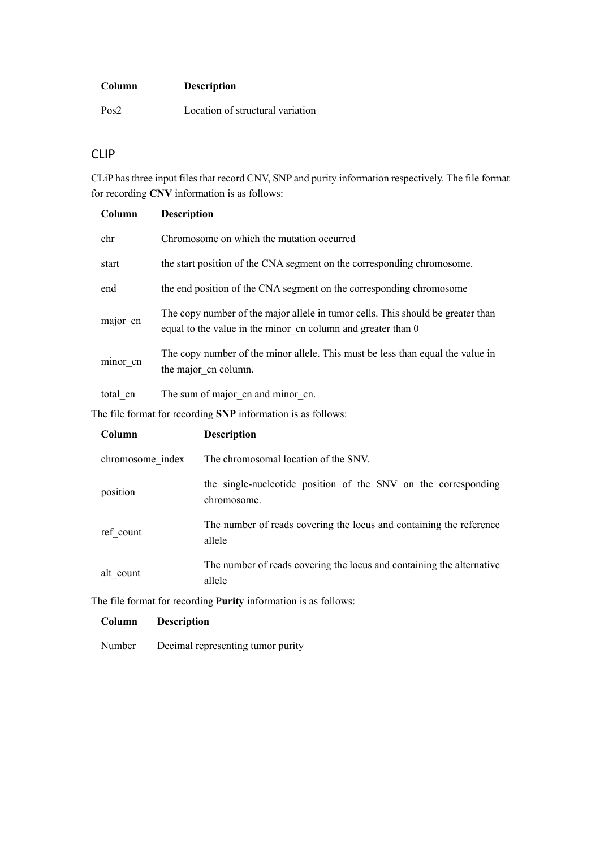#### **Column Description**

Pos2 Location of structural variation

### CLIP

CLiP has three input files that record CNV, SNP and purity information respectively. The file format for recording **CNV** information is as follows:

| Column           | <b>Description</b>                                                                                                                              |
|------------------|-------------------------------------------------------------------------------------------------------------------------------------------------|
| chr              | Chromosome on which the mutation occurred                                                                                                       |
| start            | the start position of the CNA segment on the corresponding chromosome.                                                                          |
| end              | the end position of the CNA segment on the corresponding chromosome                                                                             |
| major cn         | The copy number of the major allele in tumor cells. This should be greater than<br>equal to the value in the minor cn column and greater than 0 |
| minor cn         | The copy number of the minor allele. This must be less than equal the value in<br>the major cn column.                                          |
| total cn         | The sum of major cn and minor cn.                                                                                                               |
|                  | The file format for recording SNP information is as follows:                                                                                    |
| Column           | <b>Description</b>                                                                                                                              |
| chromosome index | The chromosomal location of the SNV.                                                                                                            |
| position         | the single-nucleotide position of the SNV on the corresponding<br>chromosome.                                                                   |

| ref count | The number of reads covering the locus and containing the reference |
|-----------|---------------------------------------------------------------------|
|           | allele                                                              |

alt\_count The number of reads covering the locus and containing the alternative allele

The file format for recording P**urity** information is as follows:

#### **Column Description**

Number Decimal representing tumor purity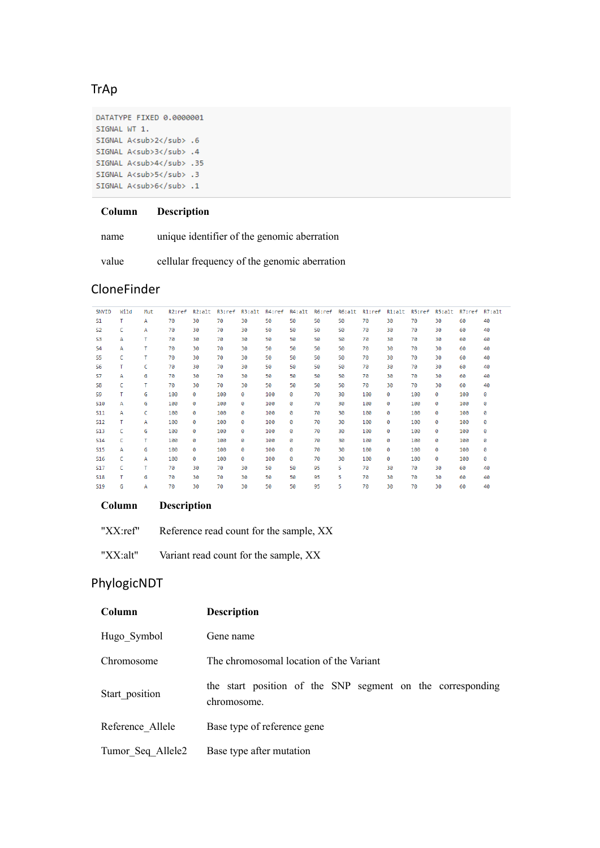# **TrAp**

DATATYPE FIXED 0.0000001 SIGNAL WT 1. SIGNAL A<sub>2</sub> .6 SIGNAL A<sub>3</sub> .4 SIGNAL A<sub>4</sub> .35 SIGNAL A<sub>5</sub> .3 SIGNAL A<sub>6</sub> .1

#### **Column Description**

name unique identifier of the genomic aberration

value cellular frequency of the genomic aberration

### CloneFinder

| SNVID          | Wild | Mut | R2:ref | R2:alt | R3:ref | R3:alt | R4:ref | R4:alt | R6:ref | R6:alt | R1:ref | R1:alt | R5:ref | R5:alt | R7:ref | R7:alt |
|----------------|------|-----|--------|--------|--------|--------|--------|--------|--------|--------|--------|--------|--------|--------|--------|--------|
| S1             | т    | A   | 70     | 30     | 70     | 30     | 50     | 50     | 50     | 50     | 70     | 30     | 70     | 30     | 60     | 40     |
| <b>S2</b>      | c    | Α   | 70     | 30     | 70     | 30     | 50     | 50     | 50     | 50     | 70     | 30     | 70     | 30     | 60     | 40     |
| S3             | А    | т   | 70     | 30     | 70     | 30     | 50     | 50     | 50     | 50     | 70     | 30     | 70     | 30     | 60     | 40     |
| S <sub>4</sub> | А    | т   | 70     | 30     | 70     | 30     | 50     | 50     | 50     | 50     | 70     | 30     | 70     | 30     | 60     | 40     |
| S5             | c    | т   | 70     | 30     | 70     | 30     | 50     | 50     | 50     | 50     | 70     | 30     | 70     | 30     | 60     | 40     |
| S6             | т    | c   | 70     | 30     | 70     | 30     | 50     | 50     | 50     | 50     | 70     | 30     | 70     | 30     | 60     | 40     |
| <b>S7</b>      | А    | G   | 70     | 30     | 70     | 30     | 50     | 50     | 50     | 50     | 70     | 30     | 70     | 30     | 60     | 40     |
| S8             | c    | т   | 70     | 30     | 70     | 30     | 50     | 50     | 50     | 50     | 70     | 30     | 70     | 30     | 60     | 40     |
| S9             | т    | G   | 100    | 0      | 100    | 0      | 100    | 0      | 70     | 30     | 100    | ø      | 100    | 0      | 100    | ø      |
| <b>S10</b>     | А    | G   | 100    | ø      | 100    | ø      | 100    | 0      | 70     | 30     | 100    | ø      | 100    | 0      | 100    | ø      |
| <b>S11</b>     | А    | c   | 100    | 0      | 100    | ø      | 100    | ø      | 70     | 30     | 100    | ø      | 100    | ø      | 100    | ø      |
| <b>S12</b>     | т    | А   | 100    | ø      | 100    | ø      | 100    | 0      | 70     | 30     | 100    | ø      | 100    | 0      | 100    | ø      |
| <b>S13</b>     | c    | G   | 100    | 0      | 100    | ø      | 100    | 0      | 70     | 30     | 100    | ø      | 100    | ø      | 100    | ø      |
| <b>S14</b>     | c    | т   | 100    | 0      | 100    | ø      | 100    | 0      | 70     | 30     | 100    | ø      | 100    | 0      | 100    | ø      |
| <b>S15</b>     | А    | G   | 100    | 0      | 100    | ø      | 100    | 0      | 70     | 30     | 100    | 0      | 100    | 0      | 100    | 0      |
| <b>S16</b>     | c    | А   | 100    | ø      | 100    | ø      | 100    | 0      | 70     | 30     | 100    | ø      | 100    | ø      | 100    | ø      |
| <b>S17</b>     | c    | т   | 70     | 30     | 70     | 30     | 50     | 50     | 95     | 5.     | 70     | 30     | 70     | 30     | 60     | 40     |
| <b>S18</b>     | т    | G   | 70     | 30     | 70     | 30     | 50     | 50     | 95     | 5.     | 70     | 30     | 70     | 30     | 60     | 40     |
| <b>S19</b>     | G    | А   | 70     | 30     | 70     | 30     | 50     | 50     | 95     | 5      | 70     | 30     | 70     | 30     | 60     | 40     |
|                |      |     |        |        |        |        |        |        |        |        |        |        |        |        |        |        |

#### **Column Description**

"XX:ref" Reference read count for the sample, XX"

"XX:alt" Variant read count for the sample, XX

# PhylogicNDT

| Column            | <b>Description</b>                                                        |
|-------------------|---------------------------------------------------------------------------|
| Hugo Symbol       | Gene name                                                                 |
| Chromosome        | The chromosomal location of the Variant                                   |
| Start position    | the start position of the SNP segment on the corresponding<br>chromosome. |
| Reference Allele  | Base type of reference gene                                               |
| Tumor Seq Allele2 | Base type after mutation                                                  |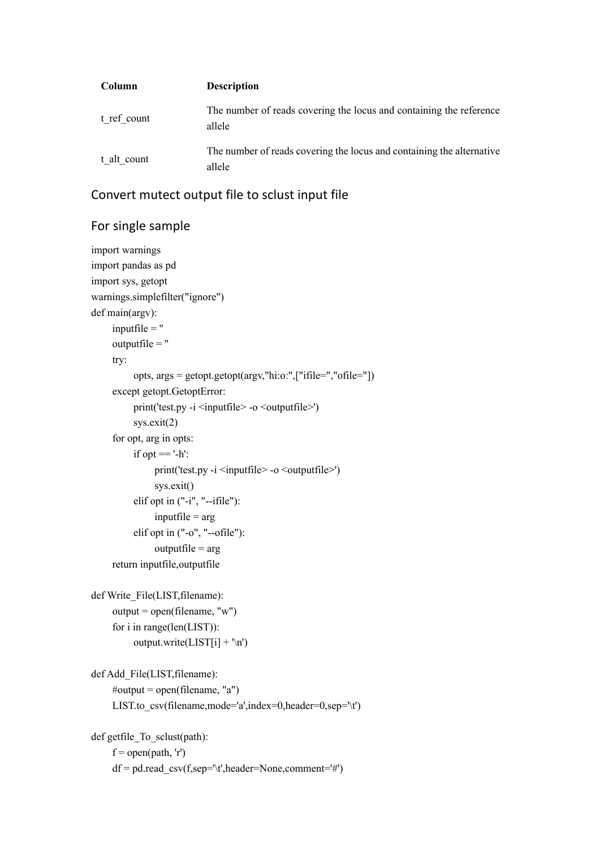| Column      | <b>Description</b>                                                              |
|-------------|---------------------------------------------------------------------------------|
| t ref count | The number of reads covering the locus and containing the reference<br>allele   |
| t alt count | The number of reads covering the locus and containing the alternative<br>allele |

## Convert mutect output file to sclust input file

## For single sample

```
import warnings
import pandas as pd
import sys, getopt
warnings.simplefilter("ignore")
def main(argv):
     inputfile = " outputfile = ''
      try:
           opts, args = getopt.getopt(argv,"hi:o:",["ifile=","ofile="])
      except getopt.GetoptError:
          print('test.py -i <inputfile> -o <outputfile>')
           sys.exit(2)
      for opt, arg in opts:
          if opt == '-h':
                print('test.py -i \leqinputfile\geq -o \leqoutputfile\geq')
                 sys.exit()
           elif opt in ("-i", "--ifile"):
                inputfile = arg elif opt in ("-o", "--ofile"):
                outputfile = arg return inputfile,outputfile
def Write_File(LIST,filename):
     output = open(filename, "w") for i in range(len(LIST)):
           output.write(LIST[i] + '\n')
def Add File(LIST, filename):
     \#output = open(filename, "a")
     LIST.to csv(filename,mode='a',index=0,header=0,sep='\t')
def getfile To sclust(path):
     f = \text{open}(\text{path}, 'r') df = pd.read_csv(f,sep='\t',header=None,comment='#')
```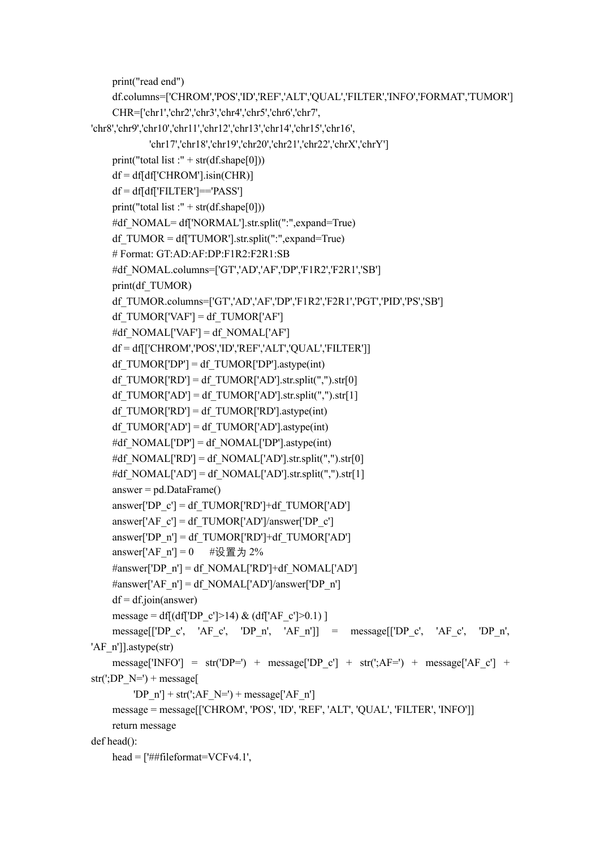```
 print("read end")
     df.columns=['CHROM','POS','ID','REF','ALT','QUAL','FILTER','INFO','FORMAT','TUMOR']
     CHR=['chr1','chr2','chr3','chr4','chr5','chr6','chr7',
'chr8','chr9','chr10','chr11','chr12','chr13','chr14','chr15','chr16',
             'chr17','chr18','chr19','chr20','chr21','chr22','chrX','chrY']
    print("total list :" + str(df.shape[0]))
    df = df df' CHROM'].isin(CHR)]
    df = df[df<sup>'</sup>FILTER']=='PASS']
    print("total list :" + str(df.shape[0]))
    #df_NOMAL= df['NORMAL'].str.split(":",expand=True)
    df TUMOR = df[TUMOR']. str.split("::", expand=True) # Format: GT:AD:AF:DP:F1R2:F2R1:SB
    #df_NOMAL.columns=['GT','AD','AF','DP','F1R2','F2R1','SB']
     print(df_TUMOR)
     df_TUMOR.columns=['GT','AD','AF','DP','F1R2','F2R1','PGT','PID','PS','SB']
    df_TUMOR['VAF'] = df_TUMOR['AF']
    #df_NOMAL['VAF'] = df_NOMAL['AF']
     df = df[['CHROM','POS','ID','REF','ALT','QUAL','FILTER']]
    df_TUMOR['DP'] = df_TUMOR['DP'].astype(int)
    df_TUMOR['RD'] = df_TUMOR['AD'].str.split(",").str[0]
    df_TUMOR['AD'] = df_TUMOR['AD'].str.split(",").str[1]
    df_TUMOR['RD'] = df_TUMOR['RD'].astype(int)
    df_TUMOR['AD'] = df_TUMOR['AD'].astype(int)
    #df_NOMAL['DP'] = df_NOMAL['DP'].astype(int)
    #df_NOMAL['RD'] = df_NOMAL['AD'].str.split(",").str[0]
    #df_NOMAL['AD'] = df_NOMAL['AD'].str.split(",").str[1]
    answer = pd.DataFrame()answer['DP_c'] = df_TUMOR['RD']+df_TUMOR['AD']
    answer['AF_c'] = df_TUMOR['AD']/answer['DP_c']
    answer['DP_n'] = df_TUMOR['RD']+df_TUMOR['AD']
    answer['AF_n'] = 0 #设置为 2%
    \#answer['DP_n'] = df NOMAL['RD'] + df NOMAL['AD']#answer['AF_n'] = df_NOMAL['AD']/answer['DP_n']
    df = df.join(answer)
    message = df[(df['DP_c']>14) & (df['AF_c']>0.1) ]
     message[['DP_c', 'AF_c', 'DP_n', 'AF_n']] = message[['DP_c', 'AF_c', 'DP_n', 
'AF_n']].astype(str)
    message['INFO'] = str('DP=') + message['DP_c'] + str(';AF=') + message['AF_c'] +
str(';DP N=') + message['DP_n'] + str(';AF_N=') + message['AF_n']
     message = message[['CHROM', 'POS', 'ID', 'REF', 'ALT', 'QUAL', 'FILTER', 'INFO']]
     return message
def head():
    head = \lceil'##fileformat=VCFv4.1',
```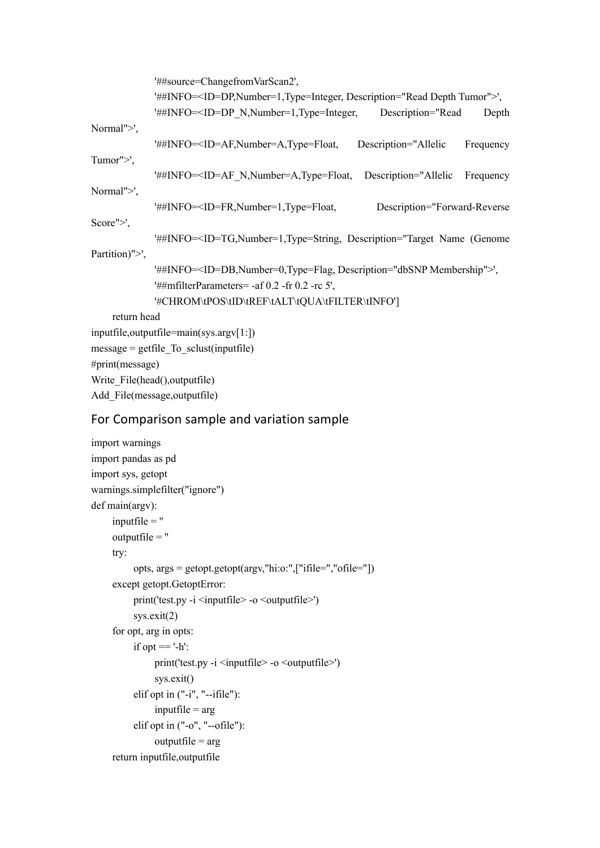|                               | '##source=ChangefromVarScan2',                                                                                                                                |  |  |
|-------------------------------|---------------------------------------------------------------------------------------------------------------------------------------------------------------|--|--|
|                               | '##INFO= <id=dp,number=1,type=integer, description="Read Depth Tumor">',</id=dp,number=1,type=integer,>                                                       |  |  |
|                               | '##INFO= <id=dp description="Read&lt;br&gt;Depth&lt;/td&gt;&lt;/tr&gt;&lt;tr&gt;&lt;td&gt;Normal" n,="" number="1," type="Integer,">',</id=dp>                |  |  |
|                               | '##INFO= <id=af,number=a,type=float, description="Allelic&lt;br&gt;Frequency&lt;/td&gt;&lt;/tr&gt;&lt;tr&gt;&lt;td&gt;Tumor">',</id=af,number=a,type=float,>  |  |  |
|                               | '##INFO= <id=af description="Allelic&lt;br&gt;Frequency&lt;/td&gt;&lt;/tr&gt;&lt;tr&gt;&lt;td&gt;Normal" n,="" number="A," type="Float,">',</id=af>           |  |  |
|                               | '##INFO= <id=fr,number=1,type=float,<br>Description="Forward-Reverse</id=fr,number=1,type=float,<br>                                                          |  |  |
| Score" $>$ ',                 |                                                                                                                                                               |  |  |
|                               | '##INFO= <id=tg,number=1,type=string, description="Target Name (Genome)&lt;/td&gt;&lt;/tr&gt;&lt;tr&gt;&lt;td&gt;Partition)">',</id=tg,number=1,type=string,> |  |  |
|                               | '##INFO= <id=db,number=0,type=flag, description="dbSNP Membership">',</id=db,number=0,type=flag,>                                                             |  |  |
|                               | '##mfilterParameters= -af $0.2$ -fr $0.2$ -rc 5',                                                                                                             |  |  |
|                               | '#CHROM\tPOS\tID\tREF\tALT\tQUA\tFILTER\tINFO']                                                                                                               |  |  |
| return head                   |                                                                                                                                                               |  |  |
|                               | inputfile, outputfile=main(sys.argv[1:])                                                                                                                      |  |  |
|                               | $message = getfile To sclust(inputfile))$                                                                                                                     |  |  |
| #print(message)               |                                                                                                                                                               |  |  |
|                               | Write File(head(), outputfile)                                                                                                                                |  |  |
| Add File(message, outputfile) |                                                                                                                                                               |  |  |
|                               |                                                                                                                                                               |  |  |

# For Comparison sample and variation sample

```
import warnings
import pandas as pd
import sys, getopt
warnings.simplefilter("ignore")
def main(argv):
      inputfile = ''
      outputfile = ''
      try:
           opts, args = getopt.getopt(argv,"hi:o:",["ifile=","ofile="])
      except getopt.GetoptError:
          print('test.py -i <inputfile> -o <outputfile>')
           sys.exit(2)
      for opt, arg in opts:
          if opt == '-h':
                print('test.py -i <inputfile> -o <outputfile>')
                 sys.exit()
           elif opt in ("-i", "--ifile"):
                inputfile = arg elif opt in ("-o", "--ofile"):
                outputfile = arg
      return inputfile,outputfile
```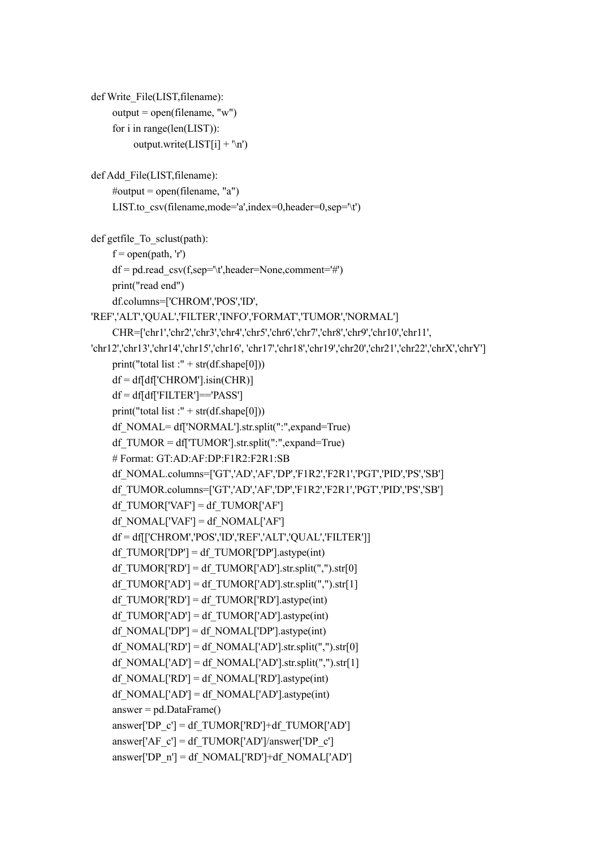```
def Write_File(LIST,filename):
    output = open(filename, "w") for i in range(len(LIST)):
         output.write(LIST[i] + \n\infty)
def Add_File(LIST,filename):
     #output = open(filename, "a")
    LIST.to \text{csv}(\text{filename},\text{mode}='\text{a}',\text{index}=0,\text{header}=0,\text{sep}=\text{'t'})def getfile To sclust(path):
    f = open(path, 'r') df = pd.read_csv(f,sep='\t',header=None,comment='#')
     print("read end")
     df.columns=['CHROM','POS','ID',
'REF','ALT','QUAL','FILTER','INFO','FORMAT','TUMOR','NORMAL']
     CHR=['chr1','chr2','chr3','chr4','chr5','chr6','chr7','chr8','chr9','chr10','chr11',
'chr12','chr13','chr14','chr15','chr16', 'chr17','chr18','chr19','chr20','chr21','chr22','chrX','chrY']
    print("total list :" + str(df.shape[0]))
    df = df df'CHROM'].isin(CHR)]
    df = df[df<sup>'</sup>FILTER']=='PASS']
    print("total list :" + str(df.shape[0]))
     df_NOMAL= df['NORMAL'].str.split(":",expand=True)
    df TUMOR = df[TUMOR'].str.split("::",expand=True) # Format: GT:AD:AF:DP:F1R2:F2R1:SB
     df_NOMAL.columns=['GT','AD','AF','DP','F1R2','F2R1','PGT','PID','PS','SB']
     df_TUMOR.columns=['GT','AD','AF','DP','F1R2','F2R1','PGT','PID','PS','SB']
    df_TUMOR['VAF'] = df_TUMOR['AF']
    df_NOMAL['AF'] = df_NOMAL['AF'] df = df[['CHROM','POS','ID','REF','ALT','QUAL','FILTER']]
    df_TUMOR['DP'] = df_TUMOR['DP'].astype(int)
    df_TUMOR['RD'] = df_TUMOR['AD'].str.split(",").str[0]
    df_TUMOR['AD'] = df_TUMOR['AD'].str.split(",").str[1]
    df TUMOR['RD'] = df TUMOR['RD'].astype(int)df_TUMOR['AD'] = df_TUMOR['AD'].astype(int)
    df_NOMAL['DP'] = df_NOMAL['DP'].astype(int)
    df_NOMAL['RD'] = df_NOMAL['AD'].str.split(",").str[0]
    df_NOMAL['AD'] = df_NOMAL['AD'].str.split(",").str[1]
    df_NOMAL['RD'] = df_NOMAL['RD'].astype(int)
    df_NOMAL['AD'] = df_NOMAL['AD'].astype(int)
     answer = pd.DataFrame()
    answer['DP_c'] = df_TUMOR['RD']+df_TUMOR['AD']
    answer['AF_c'] = df_TUMOR['AD']/answer['DP_c']
    answer['DP_n'] = df_NOMAL['RD']+df_NOMAL['AD']
```